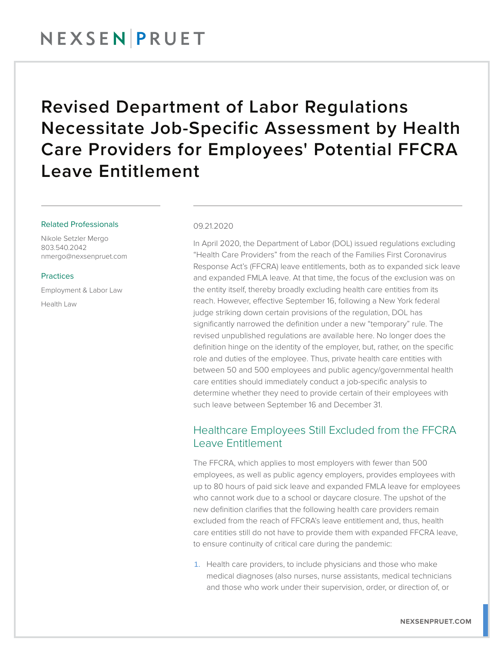## NEXSENPRUET

# Revised Department of Labor Regulations Necessitate Job-Specific Assessment by Health Care Providers for Employees' Potential FFCRA Leave Entitlement

#### Related Professionals

Nikole Setzler Mergo 803.540.2042 nmergo@nexsenpruet.com

#### **Practices**

Employment & Labor Law Health Law

#### 09.21.2020

In April 2020, the Department of Labor (DOL) issued regulations excluding "Health Care Providers" from the reach of the Families First Coronavirus Response Act's (FFCRA) leave entitlements, both as to expanded sick leave and expanded FMLA leave. At that time, the focus of the exclusion was on the entity itself, thereby broadly excluding health care entities from its reach. However, effective September 16, following a New York federal judge striking down certain provisions of the regulation, DOL has significantly narrowed the definition under a new "temporary" rule. The revised unpublished regulations are available here. No longer does the definition hinge on the identity of the employer, but, rather, on the specific role and duties of the employee. Thus, private health care entities with between 50 and 500 employees and public agency/governmental health care entities should immediately conduct a job-specific analysis to determine whether they need to provide certain of their employees with such leave between September 16 and December 31.

### Healthcare Employees Still Excluded from the FFCRA Leave Entitlement

The FFCRA, which applies to most employers with fewer than 500 employees, as well as public agency employers, provides employees with up to 80 hours of paid sick leave and expanded FMLA leave for employees who cannot work due to a school or daycare closure. The upshot of the new definition clarifies that the following health care providers remain excluded from the reach of FFCRA's leave entitlement and, thus, health care entities still do not have to provide them with expanded FFCRA leave, to ensure continuity of critical care during the pandemic:

1. Health care providers, to include physicians and those who make medical diagnoses (also nurses, nurse assistants, medical technicians and those who work under their supervision, order, or direction of, or